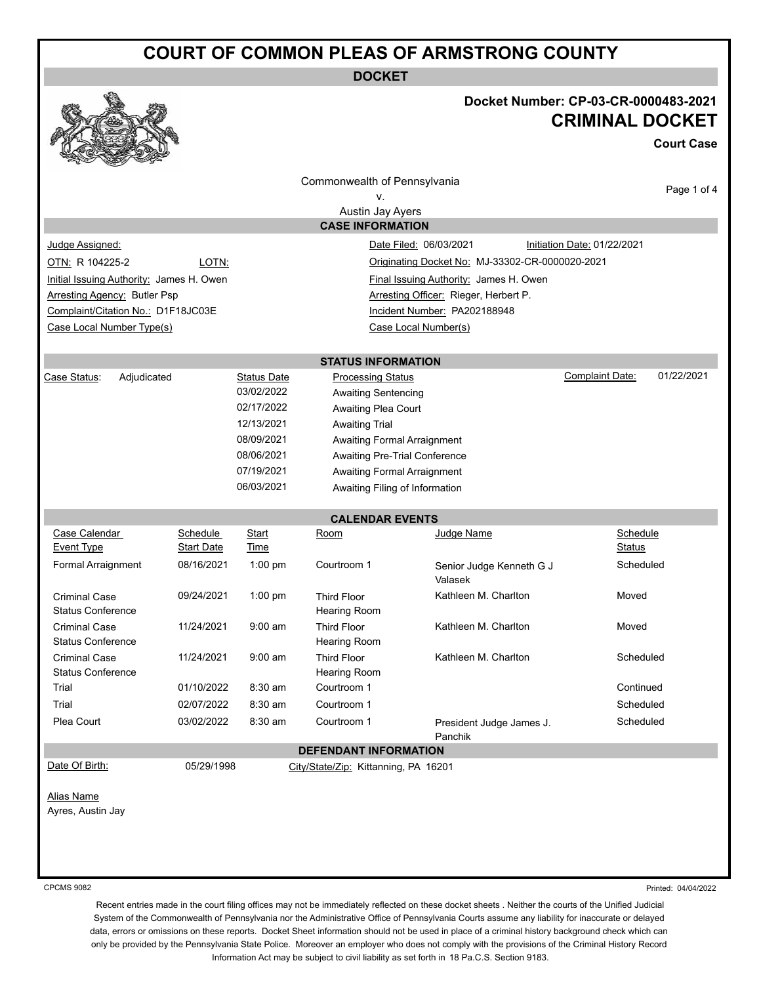## **COURT OF COMMON PLEAS OF ARMSTRONG COUNTY**

**DOCKET**



## **Docket Number: CP-03-CR-0000483-2021 CRIMINAL DOCKET**

**Court Case**

|                                                                                    |                   |                                                                     | Commonwealth of Pennsylvania              |                                     | Page 1 of 4                   |  |  |
|------------------------------------------------------------------------------------|-------------------|---------------------------------------------------------------------|-------------------------------------------|-------------------------------------|-------------------------------|--|--|
| ν.                                                                                 |                   |                                                                     |                                           |                                     |                               |  |  |
| Austin Jay Ayers                                                                   |                   |                                                                     |                                           |                                     |                               |  |  |
|                                                                                    |                   |                                                                     | <b>CASE INFORMATION</b>                   |                                     |                               |  |  |
| Judge Assigned:<br>Date Filed: 06/03/2021<br>Initiation Date: 01/22/2021           |                   |                                                                     |                                           |                                     |                               |  |  |
| OTN: R 104225-2<br>LOTN:<br>Originating Docket No: MJ-33302-CR-0000020-2021        |                   |                                                                     |                                           |                                     |                               |  |  |
| Initial Issuing Authority: James H. Owen<br>Final Issuing Authority: James H. Owen |                   |                                                                     |                                           |                                     |                               |  |  |
| Arresting Officer: Rieger, Herbert P.<br><b>Arresting Agency: Butler Psp</b>       |                   |                                                                     |                                           |                                     |                               |  |  |
| Complaint/Citation No.: D1F18JC03E                                                 |                   |                                                                     |                                           | Incident Number: PA202188948        |                               |  |  |
| Case Local Number Type(s)                                                          |                   |                                                                     |                                           | Case Local Number(s)                |                               |  |  |
|                                                                                    |                   |                                                                     |                                           |                                     |                               |  |  |
|                                                                                    |                   |                                                                     | <b>STATUS INFORMATION</b>                 |                                     |                               |  |  |
| Case Status:<br>Adjudicated                                                        |                   | <b>Status Date</b>                                                  | <b>Processing Status</b>                  |                                     | Complaint Date:<br>01/22/2021 |  |  |
|                                                                                    |                   | 03/02/2022                                                          | <b>Awaiting Sentencing</b>                |                                     |                               |  |  |
|                                                                                    |                   | 02/17/2022<br>12/13/2021                                            | Awaiting Plea Court                       |                                     |                               |  |  |
|                                                                                    |                   | 08/09/2021                                                          | <b>Awaiting Trial</b>                     |                                     |                               |  |  |
|                                                                                    | 08/06/2021        | <b>Awaiting Formal Arraignment</b><br>Awaiting Pre-Trial Conference |                                           |                                     |                               |  |  |
|                                                                                    | 07/19/2021        | Awaiting Formal Arraignment                                         |                                           |                                     |                               |  |  |
|                                                                                    |                   | 06/03/2021                                                          | Awaiting Filing of Information            |                                     |                               |  |  |
|                                                                                    |                   |                                                                     |                                           |                                     |                               |  |  |
|                                                                                    |                   |                                                                     | <b>CALENDAR EVENTS</b>                    |                                     |                               |  |  |
| Case Calendar                                                                      | Schedule          | Start                                                               | Room                                      | Judge Name                          | Schedule                      |  |  |
| <b>Event Type</b>                                                                  | <b>Start Date</b> | Time                                                                |                                           |                                     | Status                        |  |  |
| Formal Arraignment                                                                 | 08/16/2021        | $1:00$ pm                                                           | Courtroom 1                               | Senior Judge Kenneth G J<br>Valasek | Scheduled                     |  |  |
| <b>Criminal Case</b><br><b>Status Conference</b>                                   | 09/24/2021        | $1:00$ pm                                                           | <b>Third Floor</b><br><b>Hearing Room</b> | Kathleen M. Charlton                | Moved                         |  |  |
| <b>Criminal Case</b><br><b>Status Conference</b>                                   | 11/24/2021        | $9:00$ am                                                           | <b>Third Floor</b><br>Hearing Room        | Kathleen M. Charlton                | Moved                         |  |  |
| <b>Criminal Case</b><br><b>Status Conference</b>                                   | 11/24/2021        | $9:00$ am                                                           | <b>Third Floor</b><br>Hearing Room        | Kathleen M. Charlton                | Scheduled                     |  |  |
| Trial                                                                              | 01/10/2022        | $8:30$ am                                                           | Courtroom 1                               |                                     | Continued                     |  |  |
| Trial                                                                              | 02/07/2022        | $8:30$ am                                                           | Courtroom 1<br>Scheduled                  |                                     |                               |  |  |
| Plea Court                                                                         | 03/02/2022        | 8:30 am                                                             | Courtroom 1                               | President Judge James J.<br>Panchik | Scheduled                     |  |  |
| <b>DEFENDANT INFORMATION</b>                                                       |                   |                                                                     |                                           |                                     |                               |  |  |
| Date Of Birth:                                                                     | 05/29/1998        |                                                                     | City/State/Zip: Kittanning, PA 16201      |                                     |                               |  |  |
|                                                                                    |                   |                                                                     |                                           |                                     |                               |  |  |
| <b>Alias Name</b>                                                                  |                   |                                                                     |                                           |                                     |                               |  |  |
| Ayres, Austin Jay                                                                  |                   |                                                                     |                                           |                                     |                               |  |  |
|                                                                                    |                   |                                                                     |                                           |                                     |                               |  |  |
|                                                                                    |                   |                                                                     |                                           |                                     |                               |  |  |
|                                                                                    |                   |                                                                     |                                           |                                     |                               |  |  |
| <b>CPCMS 9082</b>                                                                  |                   |                                                                     |                                           |                                     | Printed: 04/04/2022           |  |  |

Recent entries made in the court filing offices may not be immediately reflected on these docket sheets . Neither the courts of the Unified Judicial System of the Commonwealth of Pennsylvania nor the Administrative Office of Pennsylvania Courts assume any liability for inaccurate or delayed data, errors or omissions on these reports. Docket Sheet information should not be used in place of a criminal history background check which can only be provided by the Pennsylvania State Police. Moreover an employer who does not comply with the provisions of the Criminal History Record Information Act may be subject to civil liability as set forth in 18 Pa.C.S. Section 9183.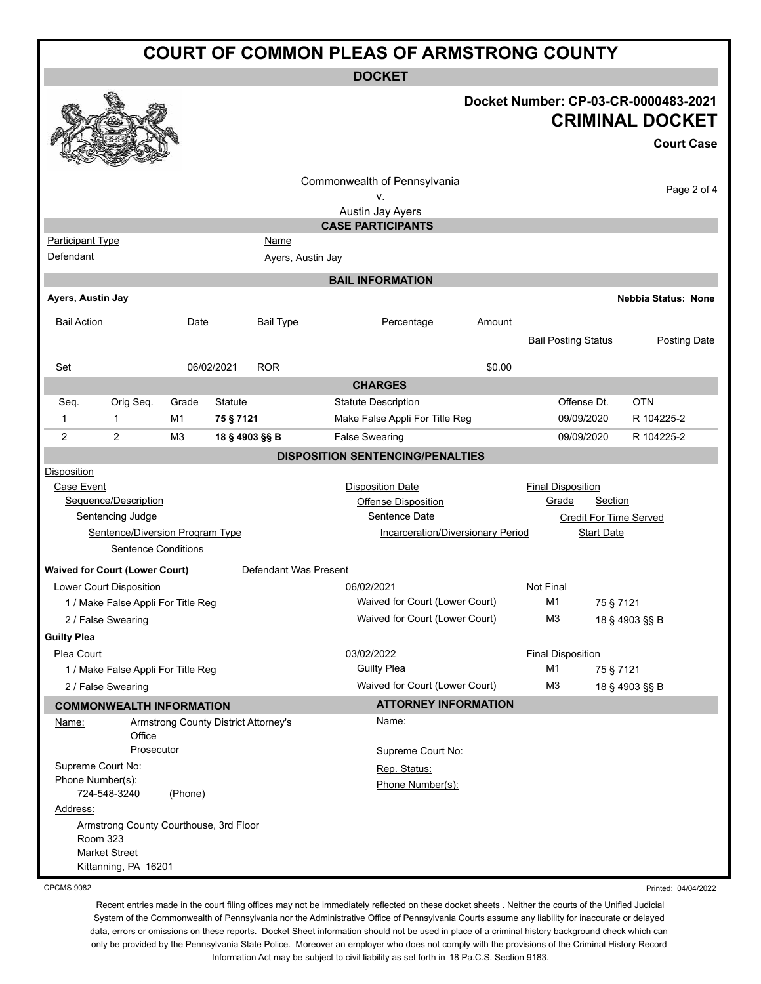| <b>COURT OF COMMON PLEAS OF ARMSTRONG COUNTY</b> |                                                    |                                      |                |                       |                                         |        |                               |                   |                                                                                     |
|--------------------------------------------------|----------------------------------------------------|--------------------------------------|----------------|-----------------------|-----------------------------------------|--------|-------------------------------|-------------------|-------------------------------------------------------------------------------------|
| <b>DOCKET</b>                                    |                                                    |                                      |                |                       |                                         |        |                               |                   |                                                                                     |
|                                                  |                                                    |                                      |                |                       |                                         |        |                               |                   | Docket Number: CP-03-CR-0000483-2021<br><b>CRIMINAL DOCKET</b><br><b>Court Case</b> |
|                                                  |                                                    |                                      |                |                       | Commonwealth of Pennsylvania<br>۷.      |        |                               |                   | Page 2 of 4                                                                         |
|                                                  |                                                    |                                      |                |                       | Austin Jay Ayers                        |        |                               |                   |                                                                                     |
|                                                  |                                                    |                                      |                |                       | <b>CASE PARTICIPANTS</b>                |        |                               |                   |                                                                                     |
| <b>Participant Type</b>                          |                                                    |                                      |                | Name                  |                                         |        |                               |                   |                                                                                     |
| Defendant                                        |                                                    |                                      |                | Ayers, Austin Jay     |                                         |        |                               |                   |                                                                                     |
|                                                  |                                                    |                                      |                |                       | <b>BAIL INFORMATION</b>                 |        |                               |                   |                                                                                     |
| Ayers, Austin Jay                                |                                                    |                                      |                |                       |                                         |        |                               |                   | <b>Nebbia Status: None</b>                                                          |
| <b>Bail Action</b>                               |                                                    | Date                                 |                | <b>Bail Type</b>      | Percentage                              | Amount | <b>Bail Posting Status</b>    |                   | <b>Posting Date</b>                                                                 |
| Set                                              |                                                    |                                      | 06/02/2021     | <b>ROR</b>            |                                         | \$0.00 |                               |                   |                                                                                     |
|                                                  |                                                    |                                      |                |                       | <b>CHARGES</b>                          |        |                               |                   |                                                                                     |
| Seq.                                             | Orig Seq.                                          | Grade                                | <b>Statute</b> |                       | <b>Statute Description</b>              |        | Offense Dt.                   |                   | <b>OTN</b>                                                                          |
| 1                                                | 1                                                  | M1                                   | 75 § 7121      |                       | Make False Appli For Title Reg          |        | 09/09/2020                    |                   | R 104225-2                                                                          |
| 2                                                | 2                                                  | M <sub>3</sub>                       | 18 § 4903 §§ B |                       | <b>False Swearing</b>                   |        | 09/09/2020                    |                   | R 104225-2                                                                          |
|                                                  |                                                    |                                      |                |                       | <b>DISPOSITION SENTENCING/PENALTIES</b> |        |                               |                   |                                                                                     |
| Disposition                                      |                                                    |                                      |                |                       |                                         |        |                               |                   |                                                                                     |
| Case Event                                       |                                                    |                                      |                |                       | <b>Disposition Date</b>                 |        | <b>Final Disposition</b>      |                   |                                                                                     |
|                                                  | Sequence/Description                               |                                      |                |                       | <b>Offense Disposition</b>              |        | Grade                         | <b>Section</b>    |                                                                                     |
|                                                  | <b>Sentencing Judge</b>                            |                                      |                |                       | Sentence Date                           |        | <b>Credit For Time Served</b> |                   |                                                                                     |
|                                                  | Sentence/Diversion Program Type                    |                                      |                |                       | Incarceration/Diversionary Period       |        |                               | <b>Start Date</b> |                                                                                     |
|                                                  | <b>Sentence Conditions</b>                         |                                      |                |                       |                                         |        |                               |                   |                                                                                     |
|                                                  | <b>Waived for Court (Lower Court)</b>              |                                      |                | Defendant Was Present |                                         |        |                               |                   |                                                                                     |
|                                                  | Lower Court Disposition                            |                                      |                |                       | 06/02/2021                              |        | <b>Not Final</b>              |                   |                                                                                     |
|                                                  | 1 / Make False Appli For Title Reg                 |                                      |                |                       | Waived for Court (Lower Court)          |        | M1                            | 75 § 7121         |                                                                                     |
|                                                  | 2 / False Swearing                                 |                                      |                |                       | Waived for Court (Lower Court)          |        | M3                            |                   | 18 § 4903 §§ B                                                                      |
| <b>Guilty Plea</b>                               |                                                    |                                      |                |                       |                                         |        |                               |                   |                                                                                     |
| Plea Court                                       |                                                    |                                      |                |                       | 03/02/2022                              |        | <b>Final Disposition</b>      |                   |                                                                                     |
|                                                  | 1 / Make False Appli For Title Reg                 |                                      |                |                       | <b>Guilty Plea</b>                      |        | M1                            | 75 § 7121         |                                                                                     |
|                                                  | 2 / False Swearing                                 |                                      |                |                       | Waived for Court (Lower Court)          |        | M <sub>3</sub>                |                   | 18 § 4903 §§ B                                                                      |
|                                                  | <b>COMMONWEALTH INFORMATION</b>                    |                                      |                |                       | <b>ATTORNEY INFORMATION</b>             |        |                               |                   |                                                                                     |
| Name:                                            | Office                                             | Armstrong County District Attorney's |                |                       | Name:                                   |        |                               |                   |                                                                                     |
|                                                  | Prosecutor                                         |                                      |                |                       | Supreme Court No:                       |        |                               |                   |                                                                                     |
|                                                  | Supreme Court No:<br>Phone Number(s):              |                                      |                |                       | Rep. Status:                            |        |                               |                   |                                                                                     |
|                                                  | 724-548-3240                                       | (Phone)                              |                |                       | Phone Number(s):                        |        |                               |                   |                                                                                     |
| Address:                                         |                                                    |                                      |                |                       |                                         |        |                               |                   |                                                                                     |
|                                                  | Armstrong County Courthouse, 3rd Floor<br>Room 323 |                                      |                |                       |                                         |        |                               |                   |                                                                                     |
|                                                  | <b>Market Street</b><br>Kittanning, PA 16201       |                                      |                |                       |                                         |        |                               |                   |                                                                                     |

CPCMS 9082

Recent entries made in the court filing offices may not be immediately reflected on these docket sheets . Neither the courts of the Unified Judicial System of the Commonwealth of Pennsylvania nor the Administrative Office of Pennsylvania Courts assume any liability for inaccurate or delayed data, errors or omissions on these reports. Docket Sheet information should not be used in place of a criminal history background check which can only be provided by the Pennsylvania State Police. Moreover an employer who does not comply with the provisions of the Criminal History Record Information Act may be subject to civil liability as set forth in 18 Pa.C.S. Section 9183.

Printed: 04/04/2022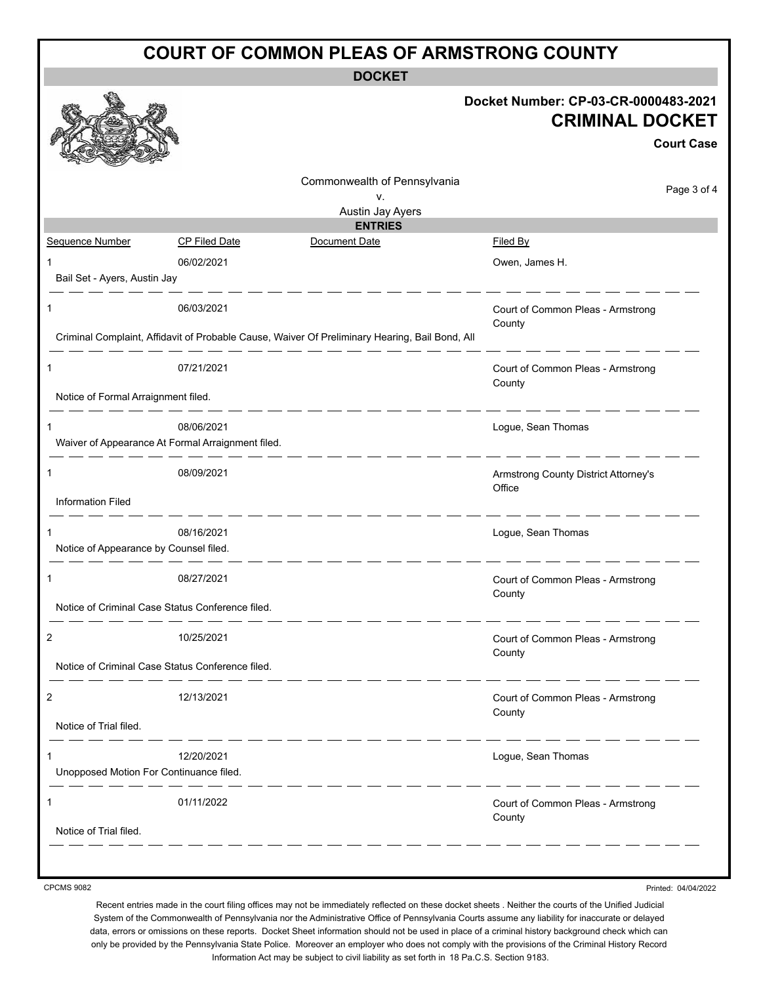| <b>COURT OF COMMON PLEAS OF ARMSTRONG COUNTY</b> |                                                                                      |                                                                                                |                                                                                     |  |  |  |
|--------------------------------------------------|--------------------------------------------------------------------------------------|------------------------------------------------------------------------------------------------|-------------------------------------------------------------------------------------|--|--|--|
| <b>DOCKET</b>                                    |                                                                                      |                                                                                                |                                                                                     |  |  |  |
|                                                  |                                                                                      |                                                                                                | Docket Number: CP-03-CR-0000483-2021<br><b>CRIMINAL DOCKET</b><br><b>Court Case</b> |  |  |  |
|                                                  |                                                                                      | Commonwealth of Pennsylvania                                                                   | Page 3 of 4                                                                         |  |  |  |
|                                                  |                                                                                      | v.<br>Austin Jay Ayers                                                                         |                                                                                     |  |  |  |
|                                                  |                                                                                      | <b>ENTRIES</b>                                                                                 |                                                                                     |  |  |  |
| Sequence Number                                  | <b>CP Filed Date</b>                                                                 | Document Date                                                                                  | <b>Filed By</b>                                                                     |  |  |  |
| 1                                                | 06/02/2021                                                                           |                                                                                                | Owen, James H.                                                                      |  |  |  |
| Bail Set - Ayers, Austin Jay                     |                                                                                      |                                                                                                |                                                                                     |  |  |  |
| 1                                                | 06/03/2021                                                                           | Criminal Complaint, Affidavit of Probable Cause, Waiver Of Preliminary Hearing, Bail Bond, All | Court of Common Pleas - Armstrong<br>County                                         |  |  |  |
| 1                                                | 07/21/2021                                                                           |                                                                                                | Court of Common Pleas - Armstrong<br>County                                         |  |  |  |
| Notice of Formal Arraignment filed.              |                                                                                      |                                                                                                |                                                                                     |  |  |  |
| 1                                                | - - - - - - - - -<br>08/06/2021<br>Waiver of Appearance At Formal Arraignment filed. |                                                                                                | Logue, Sean Thomas                                                                  |  |  |  |
| 1                                                | 08/09/2021                                                                           |                                                                                                | Armstrong County District Attorney's<br>Office                                      |  |  |  |
| <b>Information Filed</b>                         |                                                                                      |                                                                                                |                                                                                     |  |  |  |
| 1<br>Notice of Appearance by Counsel filed.      | 08/16/2021                                                                           |                                                                                                | Logue, Sean Thomas                                                                  |  |  |  |
|                                                  | 08/27/2021                                                                           |                                                                                                | Court of Common Pleas - Armstrong<br>County                                         |  |  |  |
|                                                  | Notice of Criminal Case Status Conference filed.                                     |                                                                                                |                                                                                     |  |  |  |
| 2                                                | 10/25/2021                                                                           |                                                                                                | Court of Common Pleas - Armstrong<br>County                                         |  |  |  |
| Notice of Criminal Case Status Conference filed. |                                                                                      |                                                                                                |                                                                                     |  |  |  |
| 2                                                | 12/13/2021                                                                           |                                                                                                | Court of Common Pleas - Armstrong<br>County                                         |  |  |  |
| Notice of Trial filed.<br><u>.</u>               |                                                                                      |                                                                                                |                                                                                     |  |  |  |
| 1                                                | 12/20/2021                                                                           |                                                                                                | Logue, Sean Thomas                                                                  |  |  |  |
| Unopposed Motion For Continuance filed.          |                                                                                      |                                                                                                |                                                                                     |  |  |  |
|                                                  |                                                                                      |                                                                                                |                                                                                     |  |  |  |
| 1                                                | 01/11/2022                                                                           |                                                                                                | Court of Common Pleas - Armstrong<br>County                                         |  |  |  |
| Notice of Trial filed.                           |                                                                                      |                                                                                                |                                                                                     |  |  |  |
|                                                  |                                                                                      |                                                                                                |                                                                                     |  |  |  |

CPCMS 9082

Printed: 04/04/2022

Recent entries made in the court filing offices may not be immediately reflected on these docket sheets . Neither the courts of the Unified Judicial System of the Commonwealth of Pennsylvania nor the Administrative Office of Pennsylvania Courts assume any liability for inaccurate or delayed data, errors or omissions on these reports. Docket Sheet information should not be used in place of a criminal history background check which can only be provided by the Pennsylvania State Police. Moreover an employer who does not comply with the provisions of the Criminal History Record Information Act may be subject to civil liability as set forth in 18 Pa.C.S. Section 9183.